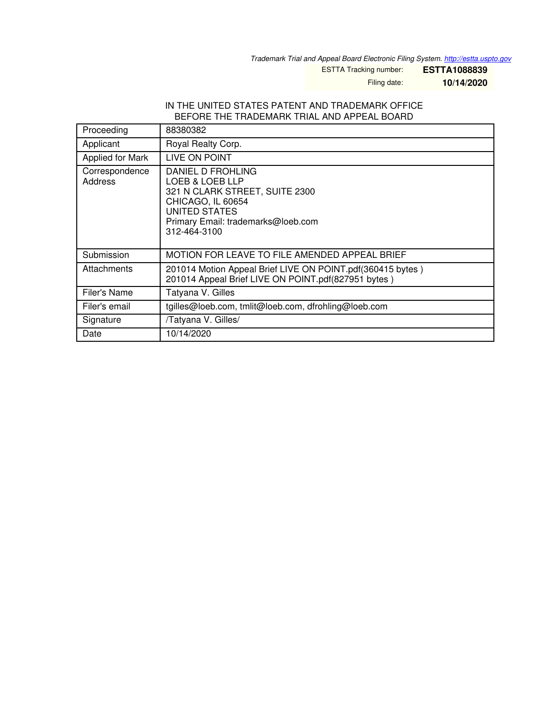*Trademark Trial and Appeal Board Electronic Filing System. <http://estta.uspto.gov>*

ESTTA Tracking number: **ESTTA1088839**

Filing date: **10/14/2020**

#### IN THE UNITED STATES PATENT AND TRADEMARK OFFICE BEFORE THE TRADEMARK TRIAL AND APPEAL BOARD

| Proceeding                       | 88380382                                                                                                                                                                  |
|----------------------------------|---------------------------------------------------------------------------------------------------------------------------------------------------------------------------|
| Applicant                        | Royal Realty Corp.                                                                                                                                                        |
| Applied for Mark                 | LIVE ON POINT                                                                                                                                                             |
| Correspondence<br><b>Address</b> | DANIEL D FROHLING<br>LOEB & LOEB LLP<br>321 N CLARK STREET, SUITE 2300<br>CHICAGO, IL 60654<br><b>UNITED STATES</b><br>Primary Email: trademarks@loeb.com<br>312-464-3100 |
| Submission                       | MOTION FOR LEAVE TO FILE AMENDED APPEAL BRIEF                                                                                                                             |
| Attachments                      | 201014 Motion Appeal Brief LIVE ON POINT.pdf(360415 bytes)<br>201014 Appeal Brief LIVE ON POINT pdf(827951 bytes)                                                         |
| Filer's Name                     | Tatyana V. Gilles                                                                                                                                                         |
| Filer's email                    | tgilles@loeb.com, tmlit@loeb.com, dfrohling@loeb.com                                                                                                                      |
| Signature                        | /Tatyana V. Gilles/                                                                                                                                                       |
| Date                             | 10/14/2020                                                                                                                                                                |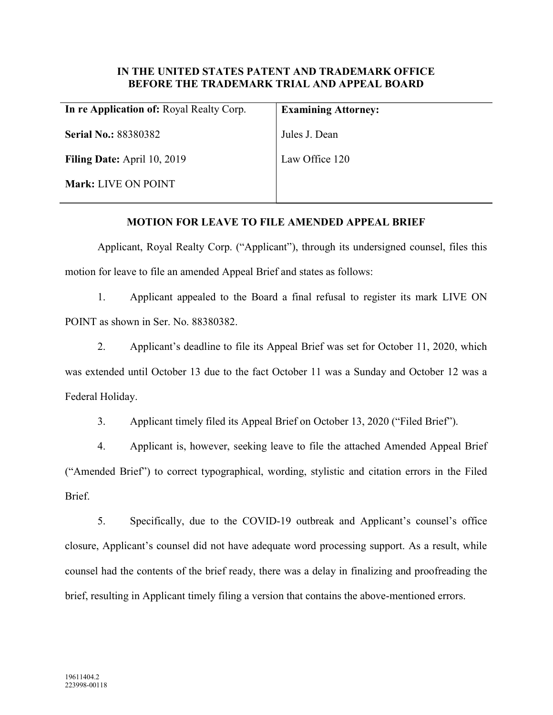#### IN THE UNITED STATES PATENT AND TRADEMARK OFFICE BEFORE THE TRADEMARK TRIAL AND APPEAL BOARD

| In re Application of: Royal Realty Corp. | <b>Examining Attorney:</b> |
|------------------------------------------|----------------------------|
| <b>Serial No.: 88380382</b>              | Jules J. Dean              |
| Filing Date: April 10, 2019              | Law Office 120             |
| <b>Mark: LIVE ON POINT</b>               |                            |
|                                          |                            |

## MOTION FOR LEAVE TO FILE AMENDED APPEAL BRIEF

Applicant, Royal Realty Corp. ("Applicant"), through its undersigned counsel, files this motion for leave to file an amended Appeal Brief and states as follows:

1. Applicant appealed to the Board a final refusal to register its mark LIVE ON POINT as shown in Ser. No. 88380382.

2. Applicant's deadline to file its Appeal Brief was set for October 11, 2020, which was extended until October 13 due to the fact October 11 was a Sunday and October 12 was a Federal Holiday.

3. Applicant timely filed its Appeal Brief on October 13, 2020 ("Filed Brief").

4. Applicant is, however, seeking leave to file the attached Amended Appeal Brief ("Amended Brief") to correct typographical, wording, stylistic and citation errors in the Filed Brief.

5. Specifically, due to the COVID-19 outbreak and Applicant's counsel's office closure, Applicant's counsel did not have adequate word processing support. As a result, while counsel had the contents of the brief ready, there was a delay in finalizing and proofreading the brief, resulting in Applicant timely filing a version that contains the above-mentioned errors.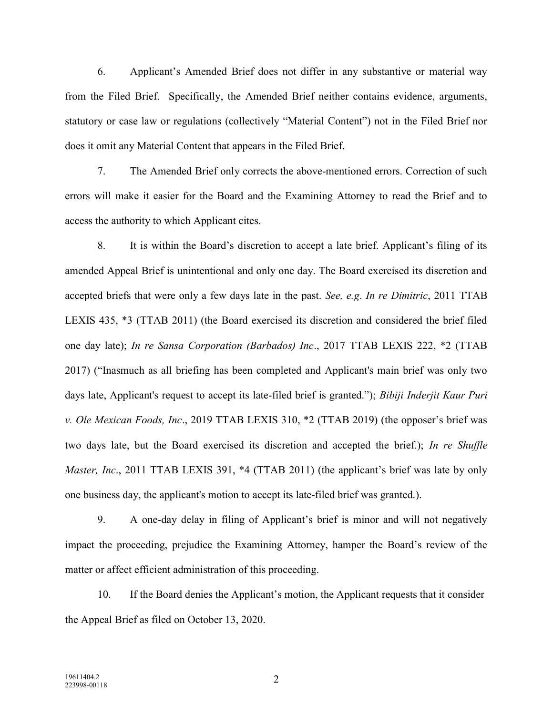6. Applicant's Amended Brief does not differ in any substantive or material way from the Filed Brief. Specifically, the Amended Brief neither contains evidence, arguments, statutory or case law or regulations (collectively "Material Content") not in the Filed Brief nor does it omit any Material Content that appears in the Filed Brief.

7. The Amended Brief only corrects the above-mentioned errors. Correction of such errors will make it easier for the Board and the Examining Attorney to read the Brief and to access the authority to which Applicant cites.

8. It is within the Board's discretion to accept a late brief. Applicant's filing of its amended Appeal Brief is unintentional and only one day. The Board exercised its discretion and accepted briefs that were only a few days late in the past. See, e.g. In re Dimitric, 2011 TTAB LEXIS 435, \*3 (TTAB 2011) (the Board exercised its discretion and considered the brief filed one day late); In re Sansa Corporation (Barbados) Inc., 2017 TTAB LEXIS 222, \*2 (TTAB 2017) ("Inasmuch as all briefing has been completed and Applicant's main brief was only two days late, Applicant's request to accept its late-filed brief is granted."); Bibiji Inderjit Kaur Puri v. Ole Mexican Foods, Inc., 2019 TTAB LEXIS 310, \*2 (TTAB 2019) (the opposer's brief was two days late, but the Board exercised its discretion and accepted the brief.); In re Shuffle Master, Inc., 2011 TTAB LEXIS 391, \*4 (TTAB 2011) (the applicant's brief was late by only one business day, the applicant's motion to accept its late-filed brief was granted.).

9. A one-day delay in filing of Applicant's brief is minor and will not negatively impact the proceeding, prejudice the Examining Attorney, hamper the Board's review of the matter or affect efficient administration of this proceeding.

10. If the Board denies the Applicant's motion, the Applicant requests that it consider the Appeal Brief as filed on October 13, 2020.

2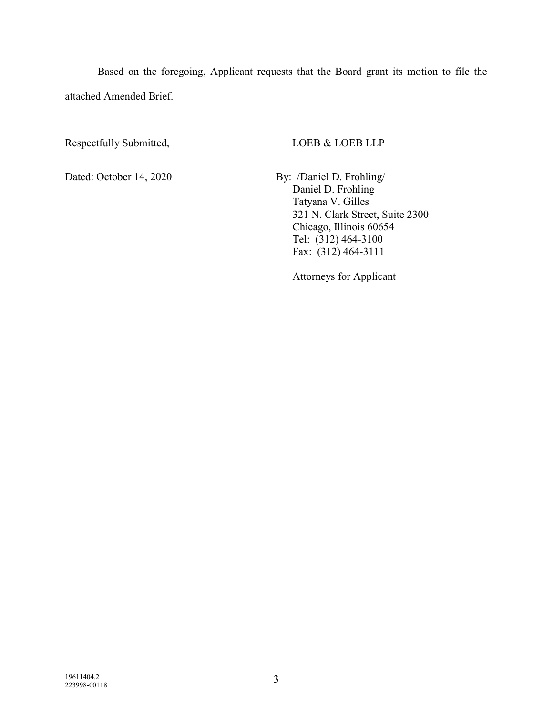Based on the foregoing, Applicant requests that the Board grant its motion to file the attached Amended Brief.

Respectfully Submitted, LOEB & LOEB LLP

Dated: October 14, 2020 By: /Daniel D. Frohling/ Daniel D. Frohling Tatyana V. Gilles 321 N. Clark Street, Suite 2300 Chicago, Illinois 60654 Tel: (312) 464-3100 Fax: (312) 464-3111

Attorneys for Applicant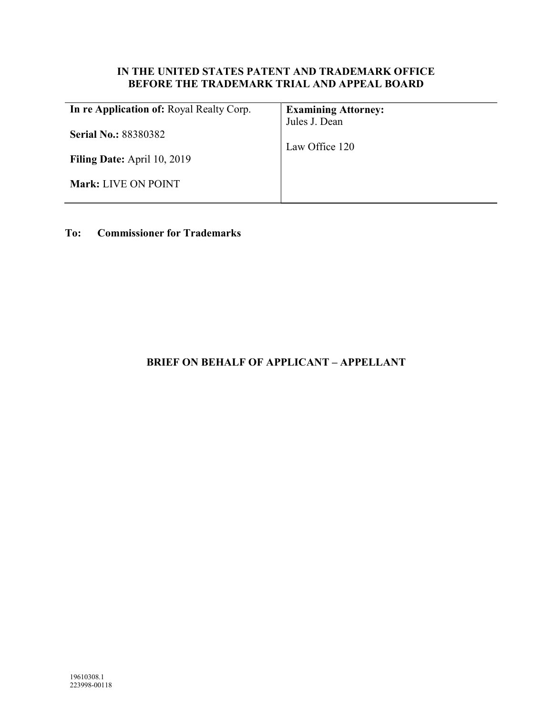# IN THE UNITED STATES PATENT AND TRADEMARK OFFICE BEFORE THE TRADEMARK TRIAL AND APPEAL BOARD

| In re Application of: Royal Realty Corp. | <b>Examining Attorney:</b> |
|------------------------------------------|----------------------------|
|                                          | Jules J. Dean              |
| <b>Serial No.: 88380382</b>              |                            |
|                                          | Law Office 120             |
| Filing Date: April 10, 2019              |                            |
|                                          |                            |
| Mark: LIVE ON POINT                      |                            |
|                                          |                            |

To: Commissioner for Trademarks

# BRIEF ON BEHALF OF APPLICANT – APPELLANT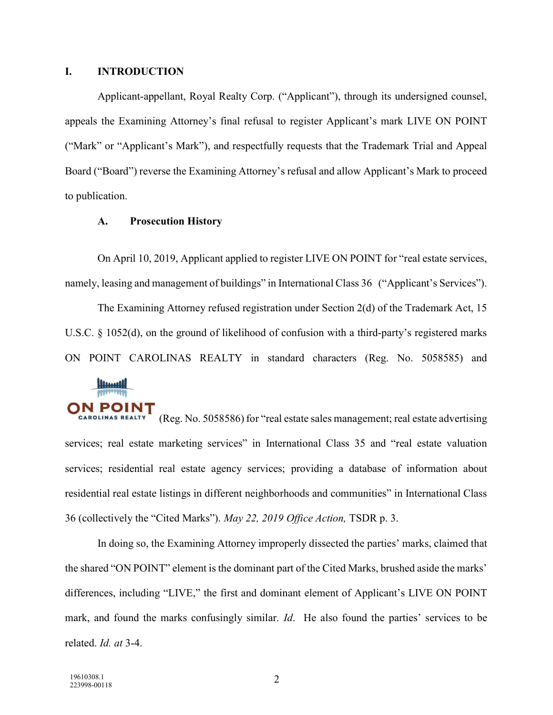#### I. INTRODUCTION

Applicant-appellant, Royal Realty Corp. ("Applicant"), through its undersigned counsel, appeals the Examining Attorney's final refusal to register Applicant's mark LIVE ON POINT ("Mark" or "Applicant's Mark"), and respectfully requests that the Trademark Trial and Appeal Board ("Board") reverse the Examining Attorney's refusal and allow Applicant's Mark to proceed to publication.

#### A. Prosecution History

On April 10, 2019, Applicant applied to register LIVE ON POINT for "real estate services, namely, leasing and management of buildings" in International Class 36 ("Applicant's Services").

The Examining Attorney refused registration under Section 2(d) of the Trademark Act, 15 U.S.C. § 1052(d), on the ground of likelihood of confusion with a third-party's registered marks ON POINT CAROLINAS REALTY in standard characters (Reg. No. 5058585) and



 (Reg. No. 5058586) for "real estate sales management; real estate advertising services; real estate marketing services" in International Class 35 and "real estate valuation services; residential real estate agency services; providing a database of information about residential real estate listings in different neighborhoods and communities" in International Class 36 (collectively the "Cited Marks"). May 22, 2019 Office Action, TSDR p. 3.

In doing so, the Examining Attorney improperly dissected the parties' marks, claimed that the shared "ON POINT" element is the dominant part of the Cited Marks, brushed aside the marks' differences, including "LIVE," the first and dominant element of Applicant's LIVE ON POINT mark, and found the marks confusingly similar. Id. He also found the parties' services to be related. Id. at 3-4.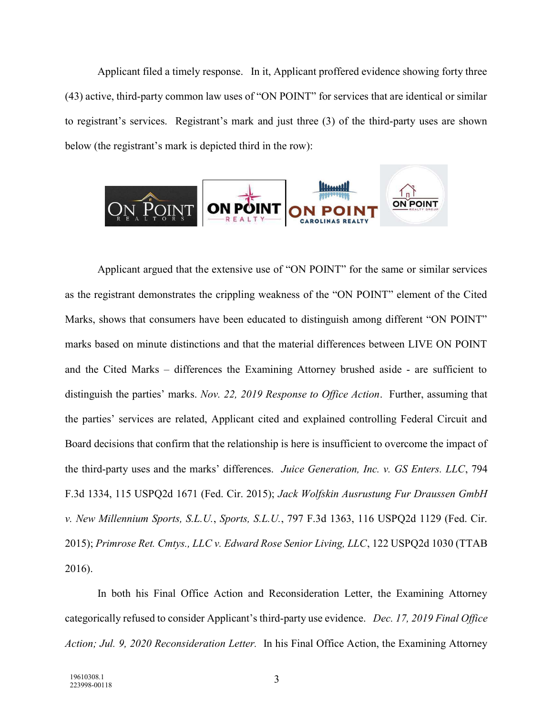Applicant filed a timely response. In it, Applicant proffered evidence showing forty three (43) active, third-party common law uses of "ON POINT" for services that are identical or similar to registrant's services. Registrant's mark and just three (3) of the third-party uses are shown below (the registrant's mark is depicted third in the row):



Applicant argued that the extensive use of "ON POINT" for the same or similar services as the registrant demonstrates the crippling weakness of the "ON POINT" element of the Cited Marks, shows that consumers have been educated to distinguish among different "ON POINT" marks based on minute distinctions and that the material differences between LIVE ON POINT and the Cited Marks – differences the Examining Attorney brushed aside - are sufficient to distinguish the parties' marks. Nov. 22, 2019 Response to Office Action. Further, assuming that the parties' services are related, Applicant cited and explained controlling Federal Circuit and Board decisions that confirm that the relationship is here is insufficient to overcome the impact of the third-party uses and the marks' differences. Juice Generation, Inc. v. GS Enters. LLC, 794 F.3d 1334, 115 USPQ2d 1671 (Fed. Cir. 2015); Jack Wolfskin Ausrustung Fur Draussen GmbH v. New Millennium Sports, S.L.U., Sports, S.L.U., 797 F.3d 1363, 116 USPQ2d 1129 (Fed. Cir. 2015); Primrose Ret. Cmtys., LLC v. Edward Rose Senior Living, LLC, 122 USPQ2d 1030 (TTAB 2016).

In both his Final Office Action and Reconsideration Letter, the Examining Attorney categorically refused to consider Applicant's third-party use evidence. Dec. 17, 2019 Final Office Action; Jul. 9, 2020 Reconsideration Letter. In his Final Office Action, the Examining Attorney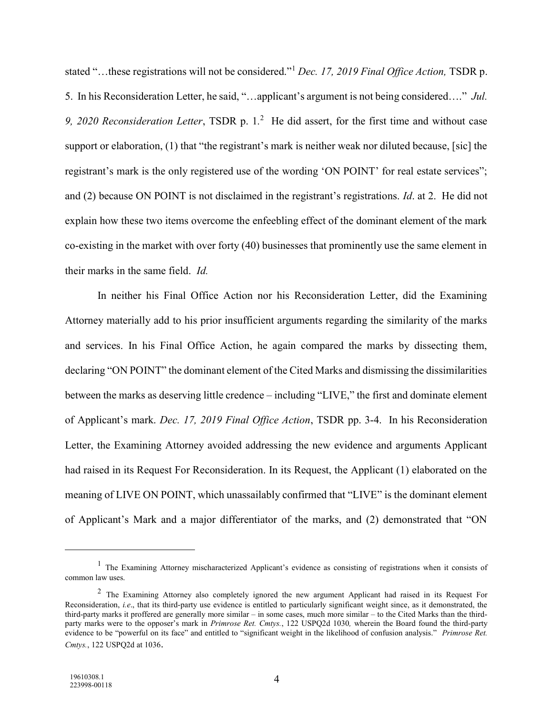stated "...these registrations will not be considered."<sup>1</sup> Dec. 17, 2019 Final Office Action, TSDR p. 5. In his Reconsideration Letter, he said, "...applicant's argument is not being considered...." Jul. 9, 2020 Reconsideration Letter, TSDR p.  $1<sup>2</sup>$  He did assert, for the first time and without case support or elaboration, (1) that "the registrant's mark is neither weak nor diluted because, [sic] the registrant's mark is the only registered use of the wording 'ON POINT' for real estate services"; and (2) because ON POINT is not disclaimed in the registrant's registrations. Id. at 2. He did not explain how these two items overcome the enfeebling effect of the dominant element of the mark co-existing in the market with over forty (40) businesses that prominently use the same element in their marks in the same field. Id.

In neither his Final Office Action nor his Reconsideration Letter, did the Examining Attorney materially add to his prior insufficient arguments regarding the similarity of the marks and services. In his Final Office Action, he again compared the marks by dissecting them, declaring "ON POINT" the dominant element of the Cited Marks and dismissing the dissimilarities between the marks as deserving little credence – including "LIVE," the first and dominate element of Applicant's mark. Dec. 17, 2019 Final Office Action, TSDR pp. 3-4. In his Reconsideration Letter, the Examining Attorney avoided addressing the new evidence and arguments Applicant had raised in its Request For Reconsideration. In its Request, the Applicant (1) elaborated on the meaning of LIVE ON POINT, which unassailably confirmed that "LIVE" is the dominant element of Applicant's Mark and a major differentiator of the marks, and (2) demonstrated that "ON

 $\overline{a}$ 

<sup>&</sup>lt;sup>1</sup> The Examining Attorney mischaracterized Applicant's evidence as consisting of registrations when it consists of common law uses.

 $2$  The Examining Attorney also completely ignored the new argument Applicant had raised in its Request For Reconsideration, *i.e.*, that its third-party use evidence is entitled to particularly significant weight since, as it demonstrated, the third-party marks it proffered are generally more similar – in some cases, much more similar – to the Cited Marks than the thirdparty marks were to the opposer's mark in Primrose Ret. Cmtys., 122 USPQ2d 1030, wherein the Board found the third-party evidence to be "powerful on its face" and entitled to "significant weight in the likelihood of confusion analysis." Primrose Ret. Cmtys., 122 USPQ2d at 1036.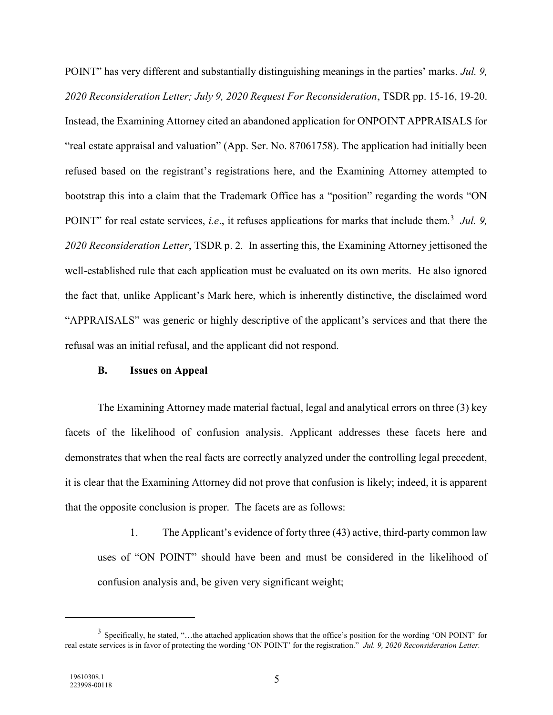POINT" has very different and substantially distinguishing meanings in the parties' marks. *Jul.* 9, 2020 Reconsideration Letter; July 9, 2020 Request For Reconsideration, TSDR pp. 15-16, 19-20. Instead, the Examining Attorney cited an abandoned application for ONPOINT APPRAISALS for "real estate appraisal and valuation" (App. Ser. No. 87061758). The application had initially been refused based on the registrant's registrations here, and the Examining Attorney attempted to bootstrap this into a claim that the Trademark Office has a "position" regarding the words "ON POINT" for real estate services, *i.e.*, it refuses applications for marks that include them.<sup>3</sup> Jul. 9, 2020 Reconsideration Letter, TSDR p. 2. In asserting this, the Examining Attorney jettisoned the well-established rule that each application must be evaluated on its own merits. He also ignored the fact that, unlike Applicant's Mark here, which is inherently distinctive, the disclaimed word "APPRAISALS" was generic or highly descriptive of the applicant's services and that there the refusal was an initial refusal, and the applicant did not respond.

#### B. Issues on Appeal

The Examining Attorney made material factual, legal and analytical errors on three (3) key facets of the likelihood of confusion analysis. Applicant addresses these facets here and demonstrates that when the real facts are correctly analyzed under the controlling legal precedent, it is clear that the Examining Attorney did not prove that confusion is likely; indeed, it is apparent that the opposite conclusion is proper. The facets are as follows:

1. The Applicant's evidence of forty three (43) active, third-party common law uses of "ON POINT" should have been and must be considered in the likelihood of confusion analysis and, be given very significant weight;

 $\ddot{\phantom{a}}$ 

<sup>&</sup>lt;sup>3</sup> Specifically, he stated, "...the attached application shows that the office's position for the wording 'ON POINT' for real estate services is in favor of protecting the wording 'ON POINT' for the registration." Jul. 9, 2020 Reconsideration Letter.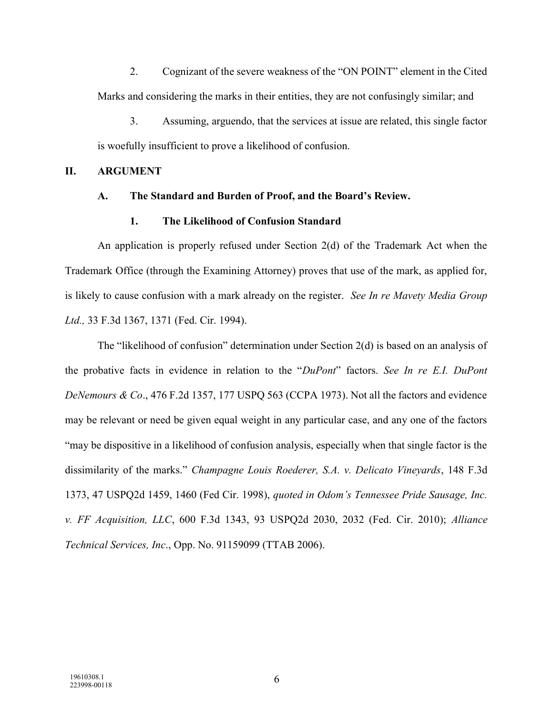2. Cognizant of the severe weakness of the "ON POINT" element in the Cited Marks and considering the marks in their entities, they are not confusingly similar; and

3. Assuming, arguendo, that the services at issue are related, this single factor is woefully insufficient to prove a likelihood of confusion.

## II. ARGUMENT

#### A. The Standard and Burden of Proof, and the Board's Review.

#### 1. The Likelihood of Confusion Standard

An application is properly refused under Section 2(d) of the Trademark Act when the Trademark Office (through the Examining Attorney) proves that use of the mark, as applied for, is likely to cause confusion with a mark already on the register. See In re Mavety Media Group Ltd., 33 F.3d 1367, 1371 (Fed. Cir. 1994).

The "likelihood of confusion" determination under Section 2(d) is based on an analysis of the probative facts in evidence in relation to the "DuPont" factors. See In re E.I. DuPont DeNemours & Co., 476 F.2d 1357, 177 USPQ 563 (CCPA 1973). Not all the factors and evidence may be relevant or need be given equal weight in any particular case, and any one of the factors "may be dispositive in a likelihood of confusion analysis, especially when that single factor is the dissimilarity of the marks." Champagne Louis Roederer, S.A. v. Delicato Vineyards, 148 F.3d 1373, 47 USPQ2d 1459, 1460 (Fed Cir. 1998), quoted in Odom's Tennessee Pride Sausage, Inc. v. FF Acquisition, LLC, 600 F.3d 1343, 93 USPQ2d 2030, 2032 (Fed. Cir. 2010); Alliance Technical Services, Inc., Opp. No. 91159099 (TTAB 2006).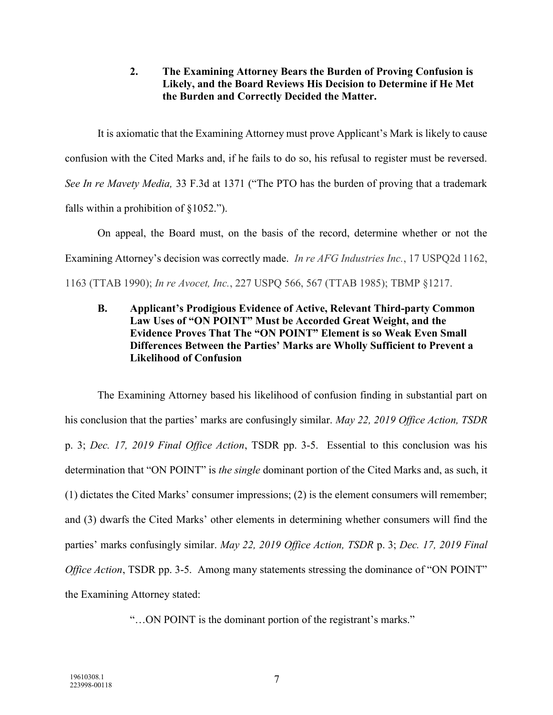# 2. The Examining Attorney Bears the Burden of Proving Confusion is Likely, and the Board Reviews His Decision to Determine if He Met the Burden and Correctly Decided the Matter.

It is axiomatic that the Examining Attorney must prove Applicant's Mark is likely to cause confusion with the Cited Marks and, if he fails to do so, his refusal to register must be reversed. See In re Mavety Media, 33 F.3d at 1371 ("The PTO has the burden of proving that a trademark falls within a prohibition of §1052.").

On appeal, the Board must, on the basis of the record, determine whether or not the Examining Attorney's decision was correctly made. In re AFG Industries Inc., 17 USPQ2d 1162, 1163 (TTAB 1990); In re Avocet, Inc., 227 USPQ 566, 567 (TTAB 1985); TBMP §1217.

# B. Applicant's Prodigious Evidence of Active, Relevant Third-party Common Law Uses of "ON POINT" Must be Accorded Great Weight, and the Evidence Proves That The "ON POINT" Element is so Weak Even Small Differences Between the Parties' Marks are Wholly Sufficient to Prevent a Likelihood of Confusion

The Examining Attorney based his likelihood of confusion finding in substantial part on his conclusion that the parties' marks are confusingly similar. May 22, 2019 Office Action, TSDR p. 3; Dec. 17, 2019 Final Office Action, TSDR pp. 3-5. Essential to this conclusion was his determination that "ON POINT" is the single dominant portion of the Cited Marks and, as such, it (1) dictates the Cited Marks' consumer impressions; (2) is the element consumers will remember; and (3) dwarfs the Cited Marks' other elements in determining whether consumers will find the parties' marks confusingly similar. May 22, 2019 Office Action, TSDR p. 3; Dec. 17, 2019 Final Office Action, TSDR pp. 3-5. Among many statements stressing the dominance of "ON POINT" the Examining Attorney stated:

"…ON POINT is the dominant portion of the registrant's marks."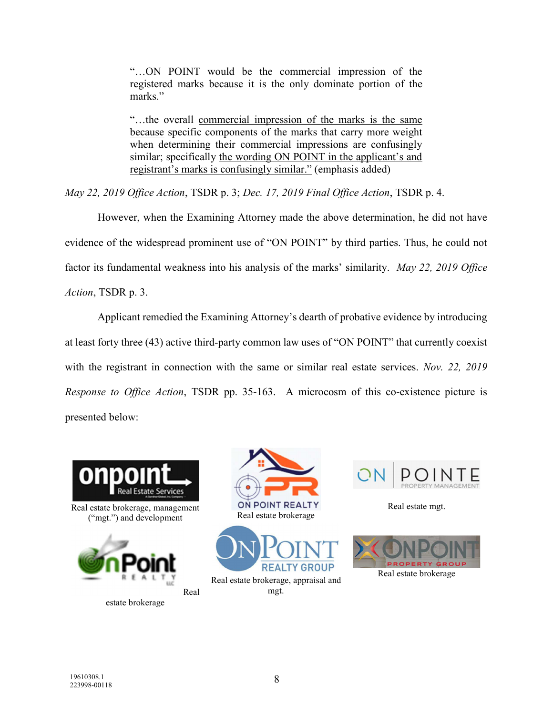"…ON POINT would be the commercial impression of the registered marks because it is the only dominate portion of the marks."

"…the overall commercial impression of the marks is the same because specific components of the marks that carry more weight when determining their commercial impressions are confusingly similar; specifically the wording ON POINT in the applicant's and registrant's marks is confusingly similar." (emphasis added)

May 22, 2019 Office Action, TSDR p. 3; Dec. 17, 2019 Final Office Action, TSDR p. 4.

However, when the Examining Attorney made the above determination, he did not have evidence of the widespread prominent use of "ON POINT" by third parties. Thus, he could not factor its fundamental weakness into his analysis of the marks' similarity. May 22, 2019 Office Action, TSDR p. 3.

Applicant remedied the Examining Attorney's dearth of probative evidence by introducing at least forty three (43) active third-party common law uses of "ON POINT" that currently coexist with the registrant in connection with the same or similar real estate services. Nov. 22, 2019 Response to Office Action, TSDR pp. 35-163. A microcosm of this co-existence picture is presented below:



Real estate brokerage, management ("mgt.") and development Real estate brokerage



estate brokerage

Real





Real estate brokerage, appraisal and mgt.



Real estate mgt.

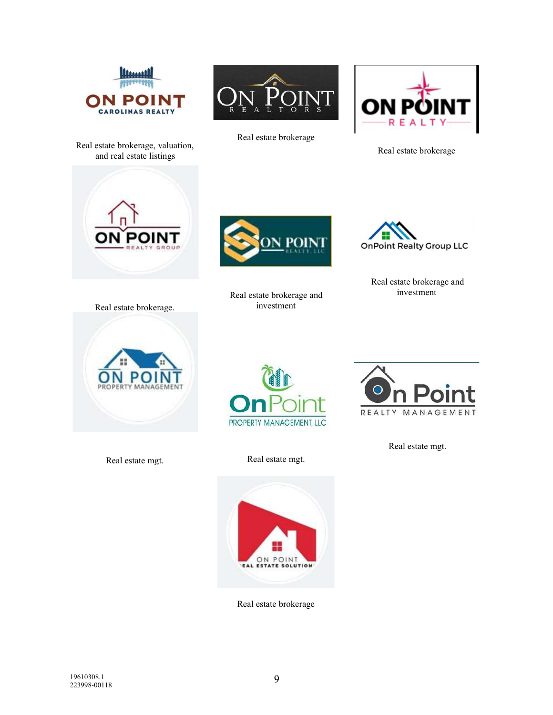

Real estate brokerage, valuation, and real estate listings



Real estate brokerage



Real estate brokerage





Real estate brokerage and investment



Real estate brokerage and investment



Real estate mgt. Real estate mgt.





Real estate brokerage



MANAGEMENT REALTY

Real estate mgt.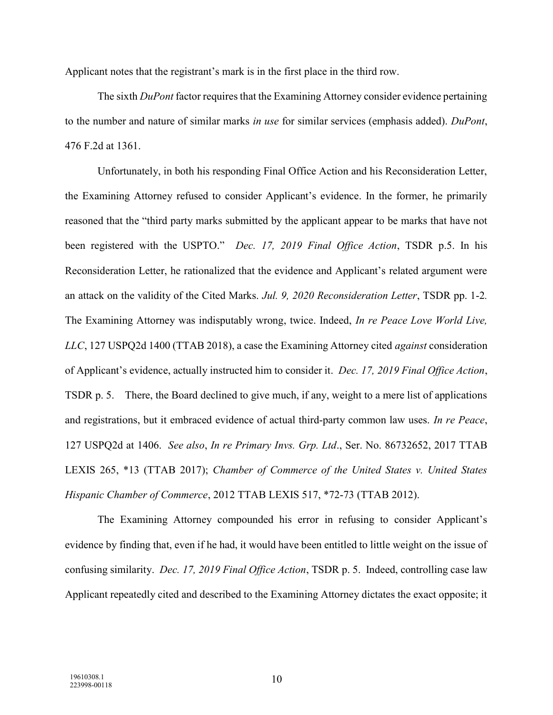Applicant notes that the registrant's mark is in the first place in the third row.

The sixth *DuPont* factor requires that the Examining Attorney consider evidence pertaining to the number and nature of similar marks in use for similar services (emphasis added). DuPont, 476 F.2d at 1361.

Unfortunately, in both his responding Final Office Action and his Reconsideration Letter, the Examining Attorney refused to consider Applicant's evidence. In the former, he primarily reasoned that the "third party marks submitted by the applicant appear to be marks that have not been registered with the USPTO." Dec. 17, 2019 Final Office Action, TSDR p.5. In his Reconsideration Letter, he rationalized that the evidence and Applicant's related argument were an attack on the validity of the Cited Marks. Jul. 9, 2020 Reconsideration Letter, TSDR pp. 1-2. The Examining Attorney was indisputably wrong, twice. Indeed, In re Peace Love World Live, LLC, 127 USPQ2d 1400 (TTAB 2018), a case the Examining Attorney cited *against* consideration of Applicant's evidence, actually instructed him to consider it. Dec. 17, 2019 Final Office Action, TSDR p. 5. There, the Board declined to give much, if any, weight to a mere list of applications and registrations, but it embraced evidence of actual third-party common law uses. In re Peace, 127 USPQ2d at 1406. See also, In re Primary Invs. Grp. Ltd., Ser. No. 86732652, 2017 TTAB LEXIS 265, \*13 (TTAB 2017); Chamber of Commerce of the United States v. United States Hispanic Chamber of Commerce, 2012 TTAB LEXIS 517, \*72-73 (TTAB 2012).

The Examining Attorney compounded his error in refusing to consider Applicant's evidence by finding that, even if he had, it would have been entitled to little weight on the issue of confusing similarity. Dec. 17, 2019 Final Office Action, TSDR p. 5. Indeed, controlling case law Applicant repeatedly cited and described to the Examining Attorney dictates the exact opposite; it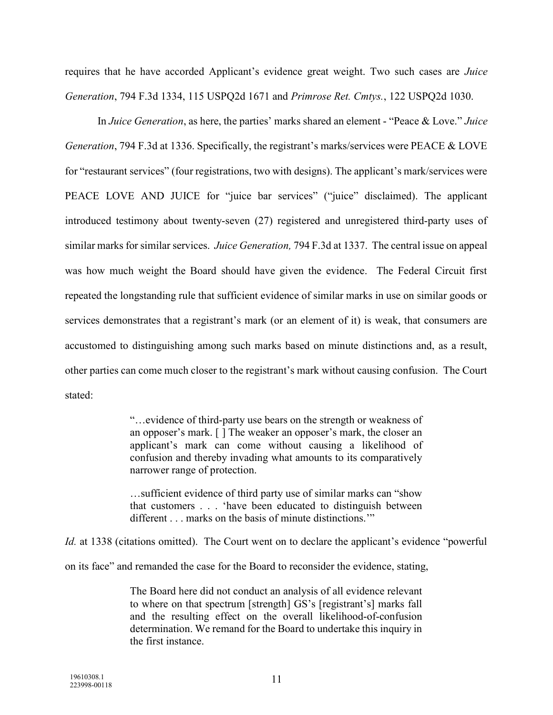requires that he have accorded Applicant's evidence great weight. Two such cases are Juice Generation, 794 F.3d 1334, 115 USPQ2d 1671 and Primrose Ret. Cmtys., 122 USPQ2d 1030.

In *Juice Generation*, as here, the parties' marks shared an element - "Peace & Love." *Juice* Generation, 794 F.3d at 1336. Specifically, the registrant's marks/services were PEACE & LOVE for "restaurant services" (four registrations, two with designs). The applicant's mark/services were PEACE LOVE AND JUICE for "juice bar services" ("juice" disclaimed). The applicant introduced testimony about twenty-seven (27) registered and unregistered third-party uses of similar marks for similar services. *Juice Generation*, 794 F.3d at 1337. The central issue on appeal was how much weight the Board should have given the evidence. The Federal Circuit first repeated the longstanding rule that sufficient evidence of similar marks in use on similar goods or services demonstrates that a registrant's mark (or an element of it) is weak, that consumers are accustomed to distinguishing among such marks based on minute distinctions and, as a result, other parties can come much closer to the registrant's mark without causing confusion. The Court stated:

> "…evidence of third-party use bears on the strength or weakness of an opposer's mark. [ ] The weaker an opposer's mark, the closer an applicant's mark can come without causing a likelihood of confusion and thereby invading what amounts to its comparatively narrower range of protection.

> …sufficient evidence of third party use of similar marks can "show that customers . . . 'have been educated to distinguish between different . . . marks on the basis of minute distinctions."

Id. at 1338 (citations omitted). The Court went on to declare the applicant's evidence "powerful

on its face" and remanded the case for the Board to reconsider the evidence, stating,

The Board here did not conduct an analysis of all evidence relevant to where on that spectrum [strength] GS's [registrant's] marks fall and the resulting effect on the overall likelihood-of-confusion determination. We remand for the Board to undertake this inquiry in the first instance.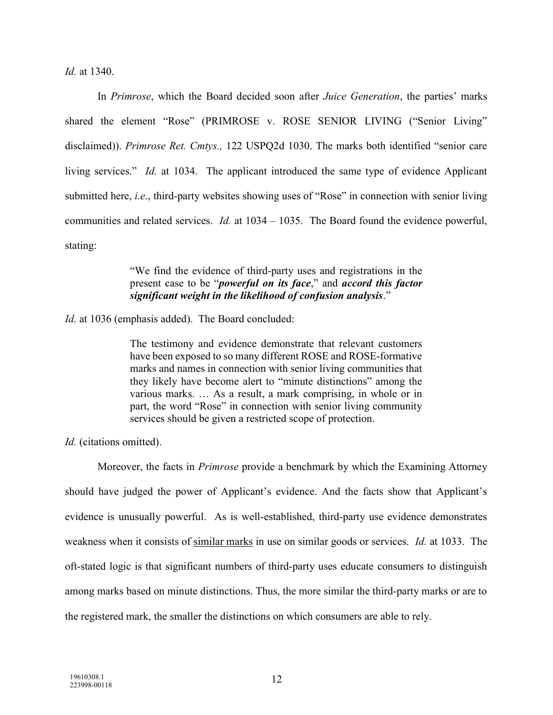Id. at 1340.

In *Primrose*, which the Board decided soon after *Juice Generation*, the parties' marks shared the element "Rose" (PRIMROSE v. ROSE SENIOR LIVING ("Senior Living" disclaimed)). Primrose Ret. Cmtys., 122 USPQ2d 1030. The marks both identified "senior care living services." Id. at 1034. The applicant introduced the same type of evidence Applicant submitted here, *i.e.*, third-party websites showing uses of "Rose" in connection with senior living communities and related services. *Id.* at  $1034 - 1035$ . The Board found the evidence powerful, stating:

# "We find the evidence of third-party uses and registrations in the present case to be "*powerful on its face*," and *accord this factor* significant weight in the likelihood of confusion analysis."

Id. at 1036 (emphasis added). The Board concluded:

The testimony and evidence demonstrate that relevant customers have been exposed to so many different ROSE and ROSE-formative marks and names in connection with senior living communities that they likely have become alert to "minute distinctions" among the various marks. … As a result, a mark comprising, in whole or in part, the word "Rose" in connection with senior living community services should be given a restricted scope of protection.

Id. (citations omitted).

Moreover, the facts in *Primrose* provide a benchmark by which the Examining Attorney should have judged the power of Applicant's evidence. And the facts show that Applicant's evidence is unusually powerful. As is well-established, third-party use evidence demonstrates weakness when it consists of similar marks in use on similar goods or services. Id. at 1033. The oft-stated logic is that significant numbers of third-party uses educate consumers to distinguish among marks based on minute distinctions. Thus, the more similar the third-party marks or are to the registered mark, the smaller the distinctions on which consumers are able to rely.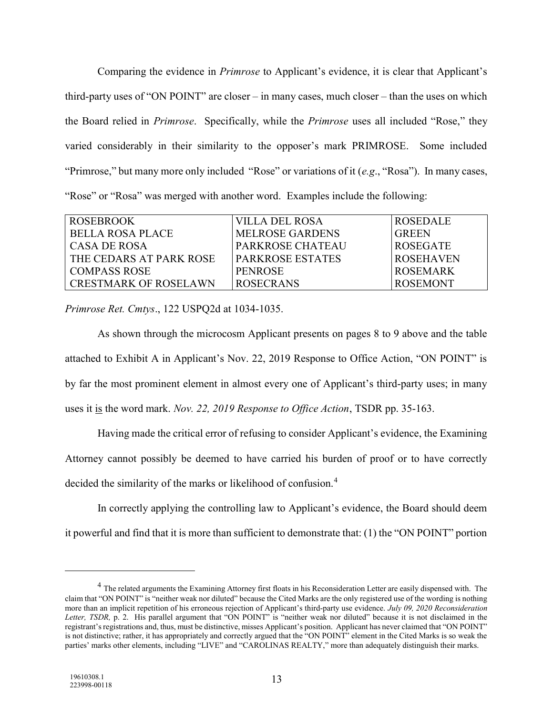Comparing the evidence in Primrose to Applicant's evidence, it is clear that Applicant's third-party uses of "ON POINT" are closer – in many cases, much closer – than the uses on which the Board relied in Primrose. Specifically, while the Primrose uses all included "Rose," they varied considerably in their similarity to the opposer's mark PRIMROSE. Some included "Primrose," but many more only included "Rose" or variations of it (e.g., "Rosa"). In many cases, "Rose" or "Rosa" was merged with another word. Examples include the following:

| <b>ROSEBROOK</b>        | VILLA DEL ROSA          | <b>ROSEDALE</b>  |
|-------------------------|-------------------------|------------------|
| <b>BELLA ROSA PLACE</b> | <b>MELROSE GARDENS</b>  | <b>GREEN</b>     |
| CASA DE ROSA            | PARKROSE CHATEAU        | <b>ROSEGATE</b>  |
| THE CEDARS AT PARK ROSE | <b>PARKROSE ESTATES</b> | <b>ROSEHAVEN</b> |
| <b>COMPASS ROSE</b>     | <b>PENROSE</b>          | <b>ROSEMARK</b>  |
| CRESTMARK OF ROSELAWN   | <b>ROSECRANS</b>        | <b>ROSEMONT</b>  |

#### Primrose Ret. Cmtys., 122 USPQ2d at 1034-1035.

As shown through the microcosm Applicant presents on pages 8 to 9 above and the table attached to Exhibit A in Applicant's Nov. 22, 2019 Response to Office Action, "ON POINT" is by far the most prominent element in almost every one of Applicant's third-party uses; in many uses it is the word mark. Nov. 22, 2019 Response to Office Action, TSDR pp. 35-163.

Having made the critical error of refusing to consider Applicant's evidence, the Examining Attorney cannot possibly be deemed to have carried his burden of proof or to have correctly decided the similarity of the marks or likelihood of confusion.<sup>4</sup>

In correctly applying the controlling law to Applicant's evidence, the Board should deem it powerful and find that it is more than sufficient to demonstrate that: (1) the "ON POINT" portion

<u>.</u>

<sup>&</sup>lt;sup>4</sup> The related arguments the Examining Attorney first floats in his Reconsideration Letter are easily dispensed with. The claim that "ON POINT" is "neither weak nor diluted" because the Cited Marks are the only registered use of the wording is nothing more than an implicit repetition of his erroneous rejection of Applicant's third-party use evidence. July 09, 2020 Reconsideration Letter, TSDR, p. 2. His parallel argument that "ON POINT" is "neither weak nor diluted" because it is not disclaimed in the registrant's registrations and, thus, must be distinctive, misses Applicant's position. Applicant has never claimed that "ON POINT" is not distinctive; rather, it has appropriately and correctly argued that the "ON POINT" element in the Cited Marks is so weak the parties' marks other elements, including "LIVE" and "CAROLINAS REALTY," more than adequately distinguish their marks.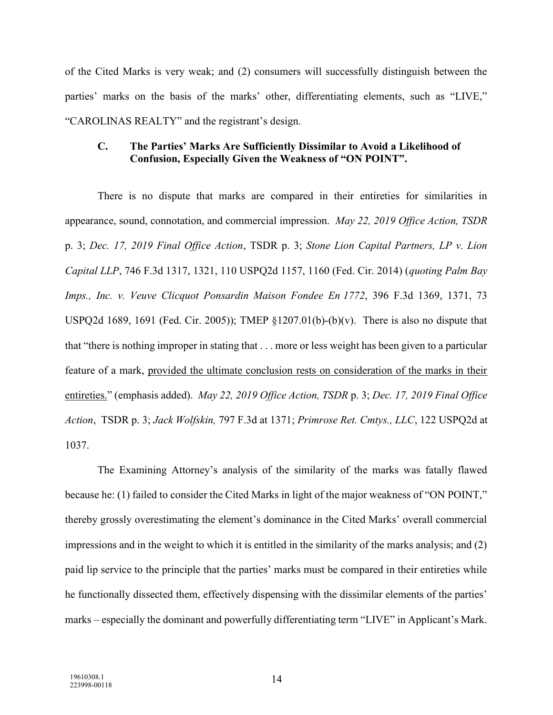of the Cited Marks is very weak; and (2) consumers will successfully distinguish between the parties' marks on the basis of the marks' other, differentiating elements, such as "LIVE," "CAROLINAS REALTY" and the registrant's design.

## C. The Parties' Marks Are Sufficiently Dissimilar to Avoid a Likelihood of Confusion, Especially Given the Weakness of "ON POINT".

There is no dispute that marks are compared in their entireties for similarities in appearance, sound, connotation, and commercial impression. May 22, 2019 Office Action, TSDR p. 3; Dec. 17, 2019 Final Office Action, TSDR p. 3; Stone Lion Capital Partners, LP v. Lion Capital LLP, 746 F.3d 1317, 1321, 110 USPQ2d 1157, 1160 (Fed. Cir. 2014) (quoting Palm Bay Imps., Inc. v. Veuve Clicquot Ponsardin Maison Fondee En 1772, 396 F.3d 1369, 1371, 73 USPQ2d 1689, 1691 (Fed. Cir. 2005)); TMEP §1207.01(b)-(b)(v). There is also no dispute that that "there is nothing improper in stating that . . . more or less weight has been given to a particular feature of a mark, provided the ultimate conclusion rests on consideration of the marks in their entireties." (emphasis added). May 22, 2019 Office Action, TSDR p. 3; Dec. 17, 2019 Final Office Action, TSDR p. 3; Jack Wolfskin, 797 F.3d at 1371; Primrose Ret. Cmtys., LLC, 122 USPQ2d at 1037.

The Examining Attorney's analysis of the similarity of the marks was fatally flawed because he: (1) failed to consider the Cited Marks in light of the major weakness of "ON POINT," thereby grossly overestimating the element's dominance in the Cited Marks' overall commercial impressions and in the weight to which it is entitled in the similarity of the marks analysis; and (2) paid lip service to the principle that the parties' marks must be compared in their entireties while he functionally dissected them, effectively dispensing with the dissimilar elements of the parties' marks – especially the dominant and powerfully differentiating term "LIVE" in Applicant's Mark.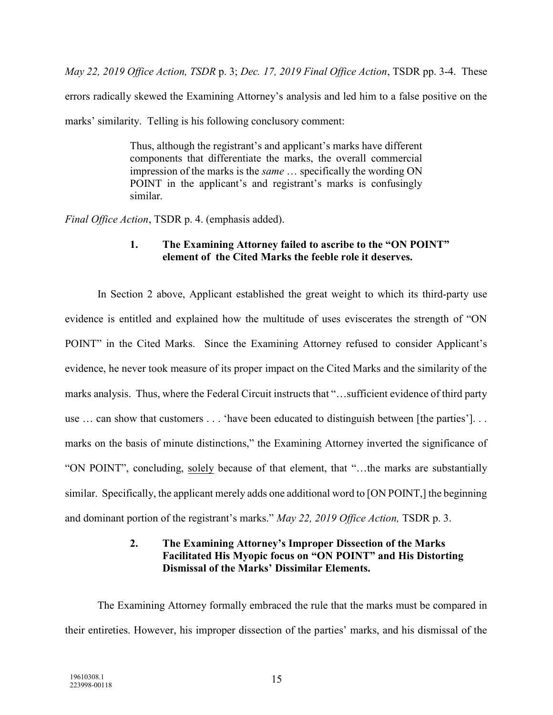May 22, 2019 Office Action, TSDR p. 3; Dec. 17, 2019 Final Office Action, TSDR pp. 3-4. These errors radically skewed the Examining Attorney's analysis and led him to a false positive on the marks' similarity. Telling is his following conclusory comment:

> Thus, although the registrant's and applicant's marks have different components that differentiate the marks, the overall commercial impression of the marks is the *same* ... specifically the wording ON POINT in the applicant's and registrant's marks is confusingly similar.

Final Office Action, TSDR p. 4. (emphasis added).

# 1. The Examining Attorney failed to ascribe to the "ON POINT" element of the Cited Marks the feeble role it deserves.

In Section 2 above, Applicant established the great weight to which its third-party use evidence is entitled and explained how the multitude of uses eviscerates the strength of "ON POINT" in the Cited Marks. Since the Examining Attorney refused to consider Applicant's evidence, he never took measure of its proper impact on the Cited Marks and the similarity of the marks analysis. Thus, where the Federal Circuit instructs that "…sufficient evidence of third party use ... can show that customers ... 'have been educated to distinguish between [the parties']... marks on the basis of minute distinctions," the Examining Attorney inverted the significance of "ON POINT", concluding, solely because of that element, that "…the marks are substantially similar. Specifically, the applicant merely adds one additional word to [ON POINT,] the beginning and dominant portion of the registrant's marks." May 22, 2019 Office Action, TSDR p. 3.

# 2. The Examining Attorney's Improper Dissection of the Marks Facilitated His Myopic focus on "ON POINT" and His Distorting Dismissal of the Marks' Dissimilar Elements.

The Examining Attorney formally embraced the rule that the marks must be compared in their entireties. However, his improper dissection of the parties' marks, and his dismissal of the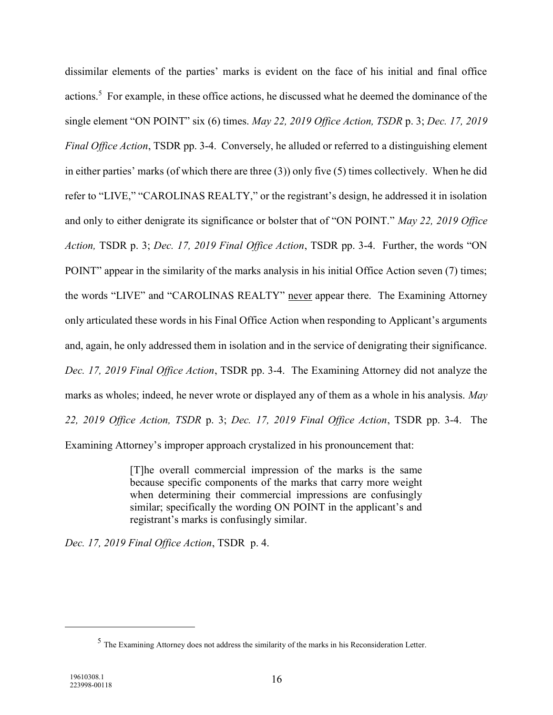dissimilar elements of the parties' marks is evident on the face of his initial and final office actions.<sup>5</sup> For example, in these office actions, he discussed what he deemed the dominance of the single element "ON POINT" six (6) times. May 22, 2019 Office Action, TSDR p. 3; Dec. 17, 2019 Final Office Action, TSDR pp. 3-4. Conversely, he alluded or referred to a distinguishing element in either parties' marks (of which there are three (3)) only five (5) times collectively. When he did refer to "LIVE," "CAROLINAS REALTY," or the registrant's design, he addressed it in isolation and only to either denigrate its significance or bolster that of "ON POINT." May 22, 2019 Office Action, TSDR p. 3; Dec. 17, 2019 Final Office Action, TSDR pp. 3-4. Further, the words "ON POINT" appear in the similarity of the marks analysis in his initial Office Action seven (7) times; the words "LIVE" and "CAROLINAS REALTY" never appear there. The Examining Attorney only articulated these words in his Final Office Action when responding to Applicant's arguments and, again, he only addressed them in isolation and in the service of denigrating their significance. Dec. 17, 2019 Final Office Action, TSDR pp. 3-4. The Examining Attorney did not analyze the marks as wholes; indeed, he never wrote or displayed any of them as a whole in his analysis. May 22, 2019 Office Action, TSDR p. 3; Dec. 17, 2019 Final Office Action, TSDR pp. 3-4. The Examining Attorney's improper approach crystalized in his pronouncement that:

> [T]he overall commercial impression of the marks is the same because specific components of the marks that carry more weight when determining their commercial impressions are confusingly similar; specifically the wording ON POINT in the applicant's and registrant's marks is confusingly similar.

Dec. 17, 2019 Final Office Action, TSDR p. 4.

<u>.</u>

<sup>&</sup>lt;sup>5</sup> The Examining Attorney does not address the similarity of the marks in his Reconsideration Letter.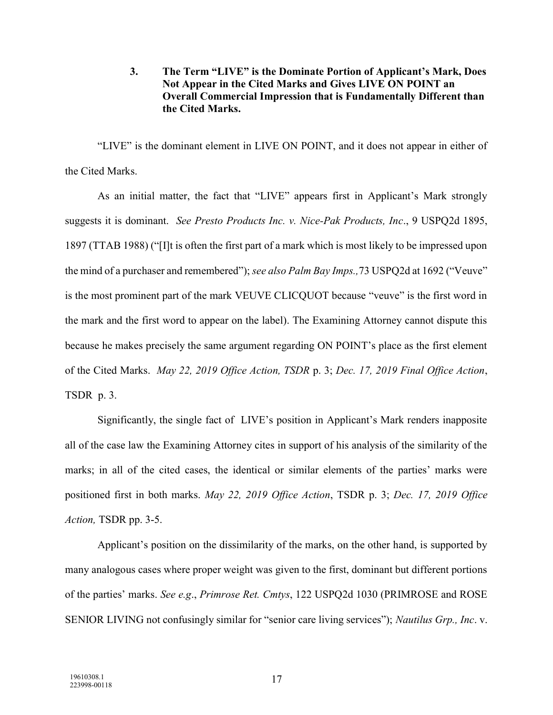## 3. The Term "LIVE" is the Dominate Portion of Applicant's Mark, Does Not Appear in the Cited Marks and Gives LIVE ON POINT an Overall Commercial Impression that is Fundamentally Different than the Cited Marks.

"LIVE" is the dominant element in LIVE ON POINT, and it does not appear in either of the Cited Marks.

As an initial matter, the fact that "LIVE" appears first in Applicant's Mark strongly suggests it is dominant. See Presto Products Inc. v. Nice-Pak Products, Inc., 9 USPQ2d 1895, 1897 (TTAB 1988) ("[I]t is often the first part of a mark which is most likely to be impressed upon the mind of a purchaser and remembered"); see also Palm Bay Imps., 73 USPQ2d at 1692 ("Veuve" is the most prominent part of the mark VEUVE CLICQUOT because "veuve" is the first word in the mark and the first word to appear on the label). The Examining Attorney cannot dispute this because he makes precisely the same argument regarding ON POINT's place as the first element of the Cited Marks. May 22, 2019 Office Action, TSDR p. 3; Dec. 17, 2019 Final Office Action, TSDR p. 3.

Significantly, the single fact of LIVE's position in Applicant's Mark renders inapposite all of the case law the Examining Attorney cites in support of his analysis of the similarity of the marks; in all of the cited cases, the identical or similar elements of the parties' marks were positioned first in both marks. May 22, 2019 Office Action, TSDR p. 3; Dec. 17, 2019 Office Action, TSDR pp. 3-5.

Applicant's position on the dissimilarity of the marks, on the other hand, is supported by many analogous cases where proper weight was given to the first, dominant but different portions of the parties' marks. See e.g., Primrose Ret. Cmtys, 122 USPQ2d 1030 (PRIMROSE and ROSE SENIOR LIVING not confusingly similar for "senior care living services"); Nautilus Grp., Inc. v.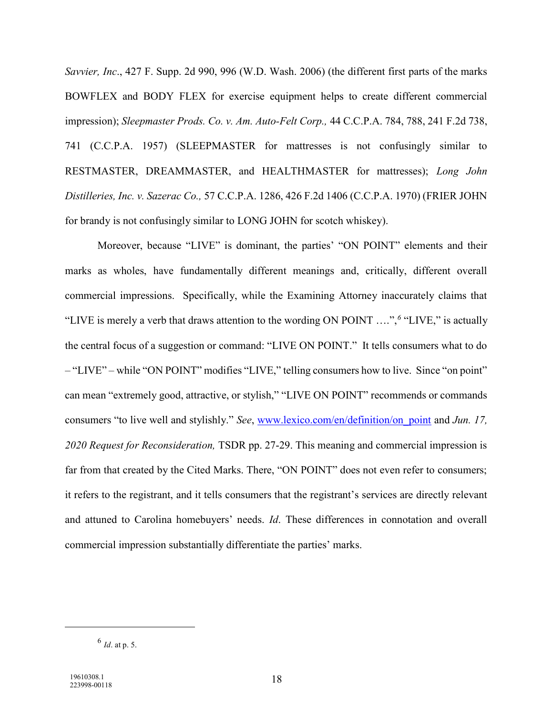Savvier, Inc., 427 F. Supp. 2d 990, 996 (W.D. Wash. 2006) (the different first parts of the marks BOWFLEX and BODY FLEX for exercise equipment helps to create different commercial impression); Sleepmaster Prods. Co. v. Am. Auto-Felt Corp., 44 C.C.P.A. 784, 788, 241 F.2d 738, 741 (C.C.P.A. 1957) (SLEEPMASTER for mattresses is not confusingly similar to RESTMASTER, DREAMMASTER, and HEALTHMASTER for mattresses); Long John Distilleries, Inc. v. Sazerac Co., 57 C.C.P.A. 1286, 426 F.2d 1406 (C.C.P.A. 1970) (FRIER JOHN for brandy is not confusingly similar to LONG JOHN for scotch whiskey).

Moreover, because "LIVE" is dominant, the parties' "ON POINT" elements and their marks as wholes, have fundamentally different meanings and, critically, different overall commercial impressions. Specifically, while the Examining Attorney inaccurately claims that "LIVE is merely a verb that draws attention to the wording ON POINT  $...,$ ",  $6$  "LIVE," is actually the central focus of a suggestion or command: "LIVE ON POINT." It tells consumers what to do – "LIVE" – while "ON POINT" modifies "LIVE," telling consumers how to live. Since "on point" can mean "extremely good, attractive, or stylish," "LIVE ON POINT" recommends or commands consumers "to live well and stylishly." See, www.lexico.com/en/definition/on\_point and Jun. 17, 2020 Request for Reconsideration, TSDR pp. 27-29. This meaning and commercial impression is far from that created by the Cited Marks. There, "ON POINT" does not even refer to consumers; it refers to the registrant, and it tells consumers that the registrant's services are directly relevant and attuned to Carolina homebuyers' needs. Id. These differences in connotation and overall commercial impression substantially differentiate the parties' marks.

 $\overline{a}$ 

 $^6$  *Id.* at p. 5.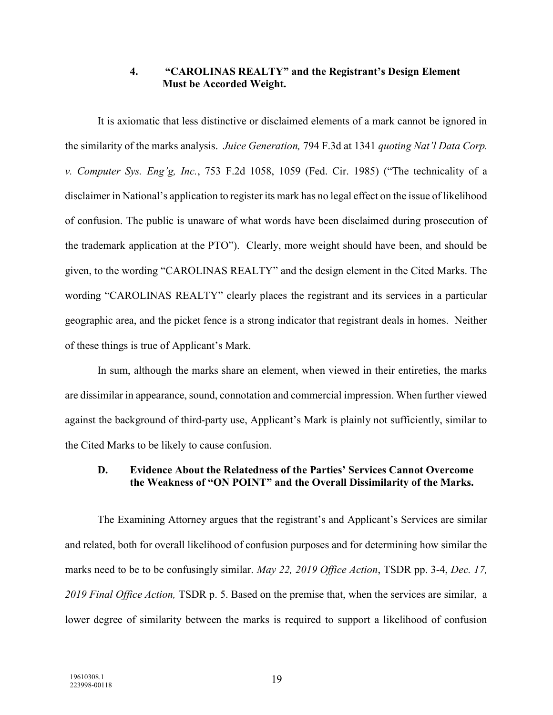## 4. "CAROLINAS REALTY" and the Registrant's Design Element Must be Accorded Weight.

It is axiomatic that less distinctive or disclaimed elements of a mark cannot be ignored in the similarity of the marks analysis. Juice Generation, 794 F.3d at 1341 quoting Nat'l Data Corp. v. Computer Sys. Eng'g, Inc., 753 F.2d 1058, 1059 (Fed. Cir. 1985) ("The technicality of a disclaimer in National's application to register its mark has no legal effect on the issue of likelihood of confusion. The public is unaware of what words have been disclaimed during prosecution of the trademark application at the PTO"). Clearly, more weight should have been, and should be given, to the wording "CAROLINAS REALTY" and the design element in the Cited Marks. The wording "CAROLINAS REALTY" clearly places the registrant and its services in a particular geographic area, and the picket fence is a strong indicator that registrant deals in homes. Neither of these things is true of Applicant's Mark.

In sum, although the marks share an element, when viewed in their entireties, the marks are dissimilar in appearance, sound, connotation and commercial impression. When further viewed against the background of third-party use, Applicant's Mark is plainly not sufficiently, similar to the Cited Marks to be likely to cause confusion.

## D. Evidence About the Relatedness of the Parties' Services Cannot Overcome the Weakness of "ON POINT" and the Overall Dissimilarity of the Marks.

The Examining Attorney argues that the registrant's and Applicant's Services are similar and related, both for overall likelihood of confusion purposes and for determining how similar the marks need to be to be confusingly similar. May 22, 2019 Office Action, TSDR pp. 3-4, Dec. 17, 2019 Final Office Action, TSDR p. 5. Based on the premise that, when the services are similar, a lower degree of similarity between the marks is required to support a likelihood of confusion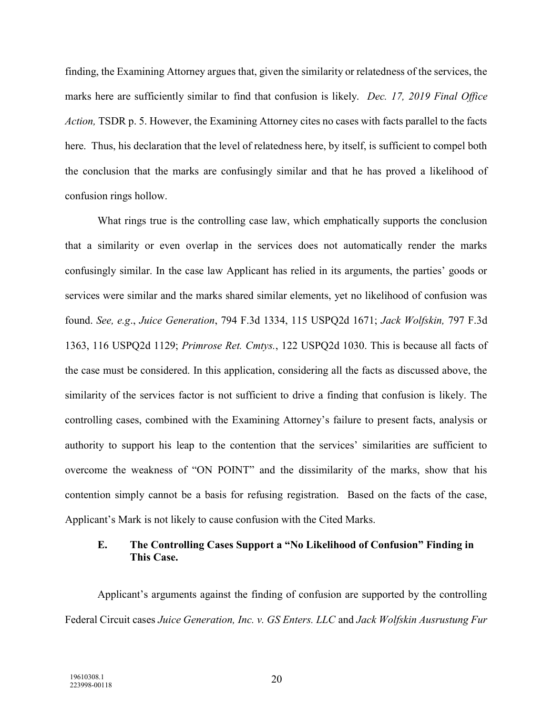finding, the Examining Attorney argues that, given the similarity or relatedness of the services, the marks here are sufficiently similar to find that confusion is likely. Dec. 17, 2019 Final Office Action, TSDR p. 5. However, the Examining Attorney cites no cases with facts parallel to the facts here. Thus, his declaration that the level of relatedness here, by itself, is sufficient to compel both the conclusion that the marks are confusingly similar and that he has proved a likelihood of confusion rings hollow.

What rings true is the controlling case law, which emphatically supports the conclusion that a similarity or even overlap in the services does not automatically render the marks confusingly similar. In the case law Applicant has relied in its arguments, the parties' goods or services were similar and the marks shared similar elements, yet no likelihood of confusion was found. See, e.g., Juice Generation, 794 F.3d 1334, 115 USPQ2d 1671; Jack Wolfskin, 797 F.3d 1363, 116 USPQ2d 1129; Primrose Ret. Cmtys., 122 USPQ2d 1030. This is because all facts of the case must be considered. In this application, considering all the facts as discussed above, the similarity of the services factor is not sufficient to drive a finding that confusion is likely. The controlling cases, combined with the Examining Attorney's failure to present facts, analysis or authority to support his leap to the contention that the services' similarities are sufficient to overcome the weakness of "ON POINT" and the dissimilarity of the marks, show that his contention simply cannot be a basis for refusing registration. Based on the facts of the case, Applicant's Mark is not likely to cause confusion with the Cited Marks.

## E. The Controlling Cases Support a "No Likelihood of Confusion" Finding in This Case.

Applicant's arguments against the finding of confusion are supported by the controlling Federal Circuit cases Juice Generation, Inc. v. GS Enters. LLC and Jack Wolfskin Ausrustung Fur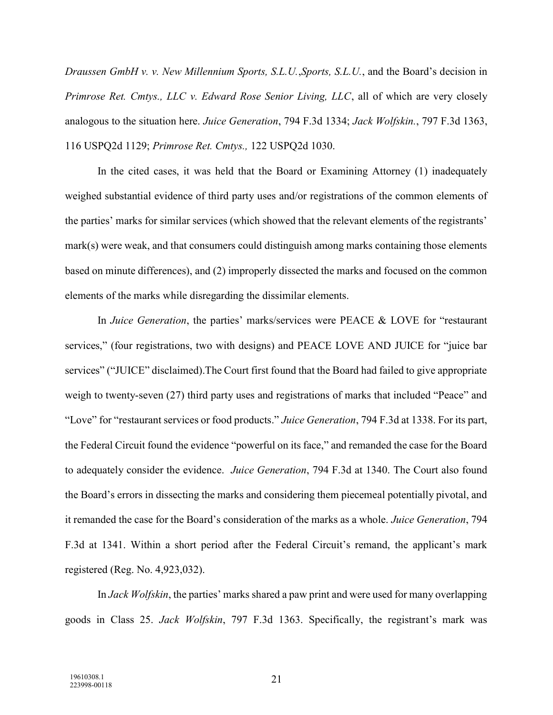Draussen GmbH v. v. New Millennium Sports, S.L.U., Sports, S.L.U., and the Board's decision in Primrose Ret. Cmtys., LLC v. Edward Rose Senior Living, LLC, all of which are very closely analogous to the situation here. Juice Generation, 794 F.3d 1334; Jack Wolfskin., 797 F.3d 1363, 116 USPQ2d 1129; Primrose Ret. Cmtys., 122 USPQ2d 1030.

In the cited cases, it was held that the Board or Examining Attorney (1) inadequately weighed substantial evidence of third party uses and/or registrations of the common elements of the parties' marks for similar services (which showed that the relevant elements of the registrants' mark(s) were weak, and that consumers could distinguish among marks containing those elements based on minute differences), and (2) improperly dissected the marks and focused on the common elements of the marks while disregarding the dissimilar elements.

In Juice Generation, the parties' marks/services were PEACE & LOVE for "restaurant" services," (four registrations, two with designs) and PEACE LOVE AND JUICE for "juice bar services" ("JUICE" disclaimed). The Court first found that the Board had failed to give appropriate weigh to twenty-seven (27) third party uses and registrations of marks that included "Peace" and "Love" for "restaurant services or food products." Juice Generation, 794 F.3d at 1338. For its part, the Federal Circuit found the evidence "powerful on its face," and remanded the case for the Board to adequately consider the evidence. Juice Generation, 794 F.3d at 1340. The Court also found the Board's errors in dissecting the marks and considering them piecemeal potentially pivotal, and it remanded the case for the Board's consideration of the marks as a whole. Juice Generation, 794 F.3d at 1341. Within a short period after the Federal Circuit's remand, the applicant's mark registered (Reg. No. 4,923,032).

In Jack Wolfskin, the parties' marks shared a paw print and were used for many overlapping goods in Class 25. Jack Wolfskin, 797 F.3d 1363. Specifically, the registrant's mark was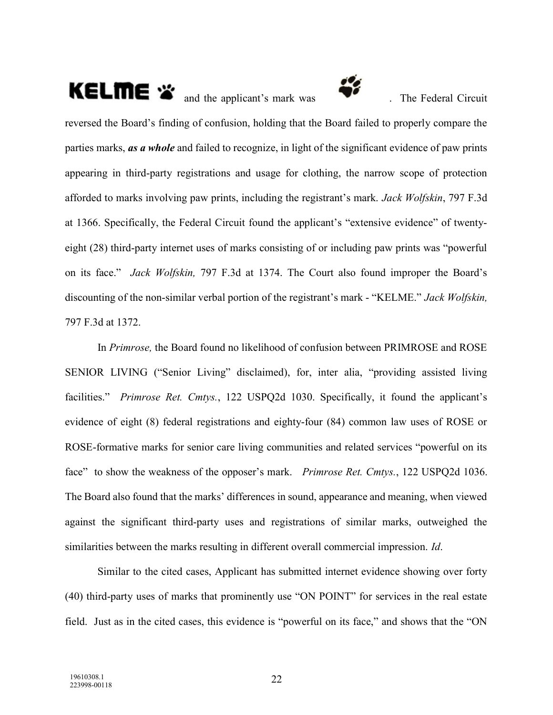# KELME  $\mathbf{\ddot{a}}$  and the applicant's mark was  $\mathbf{\ddot{b}}$ . The Federal Circuit



reversed the Board's finding of confusion, holding that the Board failed to properly compare the parties marks, as a whole and failed to recognize, in light of the significant evidence of paw prints appearing in third-party registrations and usage for clothing, the narrow scope of protection afforded to marks involving paw prints, including the registrant's mark. Jack Wolfskin, 797 F.3d at 1366. Specifically, the Federal Circuit found the applicant's "extensive evidence" of twentyeight (28) third-party internet uses of marks consisting of or including paw prints was "powerful on its face." Jack Wolfskin, 797 F.3d at 1374. The Court also found improper the Board's discounting of the non-similar verbal portion of the registrant's mark - "KELME." Jack Wolfskin, 797 F.3d at 1372.

In Primrose, the Board found no likelihood of confusion between PRIMROSE and ROSE SENIOR LIVING ("Senior Living" disclaimed), for, inter alia, "providing assisted living facilities." *Primrose Ret. Cmtys.*, 122 USPQ2d 1030. Specifically, it found the applicant's evidence of eight (8) federal registrations and eighty-four (84) common law uses of ROSE or ROSE-formative marks for senior care living communities and related services "powerful on its face" to show the weakness of the opposer's mark. Primrose Ret. Cmtys., 122 USPQ2d 1036. The Board also found that the marks' differences in sound, appearance and meaning, when viewed against the significant third-party uses and registrations of similar marks, outweighed the similarities between the marks resulting in different overall commercial impression. *Id.* 

Similar to the cited cases, Applicant has submitted internet evidence showing over forty (40) third-party uses of marks that prominently use "ON POINT" for services in the real estate field. Just as in the cited cases, this evidence is "powerful on its face," and shows that the "ON